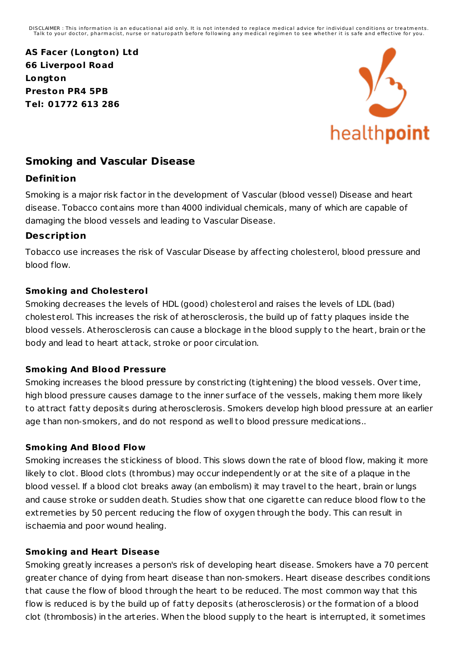DISCLAIMER : This information is an educational aid only. It is not intended to replace medical advice for individual conditions or treatments.<br>Talk to your doctor, pharmacist, nurse or naturopath before following any medi

**AS Facer (Longton) Ltd 66 Liverpool Road Longton Preston PR4 5PB Tel: 01772 613 286**



# **Smoking and Vascular Disease**

### **Definit ion**

Smoking is a major risk factor in the development of Vascular (blood vessel) Disease and heart disease. Tobacco contains more than 4000 individual chemicals, many of which are capable of damaging the blood vessels and leading to Vascular Disease.

### **Descript ion**

Tobacco use increases the risk of Vascular Disease by affecting cholesterol, blood pressure and blood flow.

### **Smoking and Cholesterol**

Smoking decreases the levels of HDL (good) cholesterol and raises the levels of LDL (bad) cholesterol. This increases the risk of atherosclerosis, the build up of fatty plaques inside the blood vessels. Atherosclerosis can cause a blockage in the blood supply to the heart, brain or the body and lead to heart attack, st roke or poor circulation.

#### **Smoking And Blood Pressure**

Smoking increases the blood pressure by const ricting (tightening) the blood vessels. Over time, high blood pressure causes damage to the inner surface of the vessels, making them more likely to att ract fatty deposits during atherosclerosis. Smokers develop high blood pressure at an earlier age than non-smokers, and do not respond as well to blood pressure medications..

#### **Smoking And Blood Flow**

Smoking increases the stickiness of blood. This slows down the rate of blood flow, making it more likely to clot. Blood clots (thrombus) may occur independently or at the site of a plaque in the blood vessel. If a blood clot breaks away (an embolism) it may t ravel to the heart, brain or lungs and cause stroke or sudden death. Studies show that one cigarette can reduce blood flow to the ext remeties by 50 percent reducing the flow of oxygen through the body. This can result in ischaemia and poor wound healing.

#### **Smoking and Heart Disease**

Smoking greatly increases a person's risk of developing heart disease. Smokers have a 70 percent greater chance of dying from heart disease than non-smokers. Heart disease describes conditions that cause the flow of blood through the heart to be reduced. The most common way that this flow is reduced is by the build up of fatty deposits (atherosclerosis) or the formation of a blood clot (thrombosis) in the arteries. When the blood supply to the heart is interrupted, it sometimes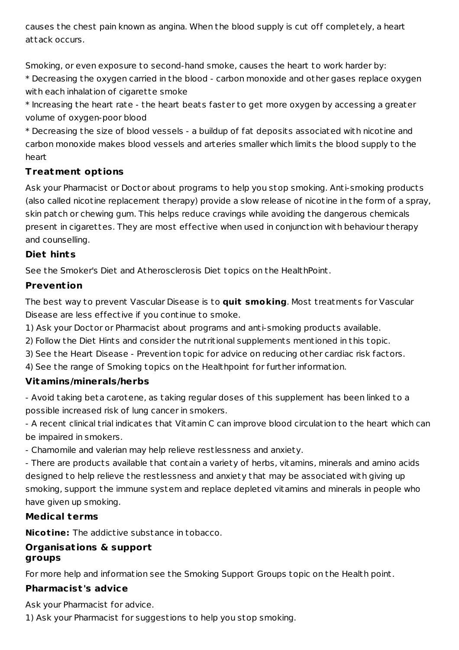causes the chest pain known as angina. When the blood supply is cut off completely, a heart attack occurs.

Smoking, or even exposure to second-hand smoke, causes the heart to work harder by: \* Decreasing the oxygen carried in the blood - carbon monoxide and other gases replace oxygen with each inhalation of cigarette smoke

\* Increasing the heart rate - the heart beats faster to get more oxygen by accessing a greater volume of oxygen-poor blood

\* Decreasing the size of blood vessels - a buildup of fat deposits associated with nicotine and carbon monoxide makes blood vessels and arteries smaller which limits the blood supply to the heart

# **Treatment opt ions**

Ask your Pharmacist or Doctor about programs to help you stop smoking. Anti-smoking products (also called nicotine replacement therapy) provide a slow release of nicotine in the form of a spray, skin patch or chewing gum. This helps reduce cravings while avoiding the dangerous chemicals present in cigarettes. They are most effective when used in conjunction with behaviour therapy and counselling.

### **Diet hints**

See the Smoker's Diet and Atherosclerosis Diet topics on the HealthPoint.

## **Prevent ion**

The best way to prevent Vascular Disease is to **quit smoking**. Most t reatments for Vascular Disease are less effective if you continue to smoke.

1) Ask your Doctor or Pharmacist about programs and anti-smoking products available.

2) Follow the Diet Hints and consider the nut ritional supplements mentioned in this topic.

3) See the Heart Disease - Prevention topic for advice on reducing other cardiac risk factors.

4) See the range of Smoking topics on the Healthpoint for further information.

## **Vitamins/minerals/herbs**

- Avoid taking beta carotene, as taking regular doses of this supplement has been linked to a possible increased risk of lung cancer in smokers.

- A recent clinical t rial indicates that Vitamin C can improve blood circulation to the heart which can be impaired in smokers.

- Chamomile and valerian may help relieve restlessness and anxiety.

- There are products available that contain a variety of herbs, vitamins, minerals and amino acids designed to help relieve the restlessness and anxiety that may be associated with giving up smoking, support the immune system and replace depleted vitamins and minerals in people who have given up smoking.

## **Medical terms**

**Nicotine:** The addictive substance in tobacco.

#### **Organisat ions & support groups**

For more help and information see the Smoking Support Groups topic on the Health point.

## **Pharmacist 's advice**

Ask your Pharmacist for advice.

1) Ask your Pharmacist for suggestions to help you stop smoking.